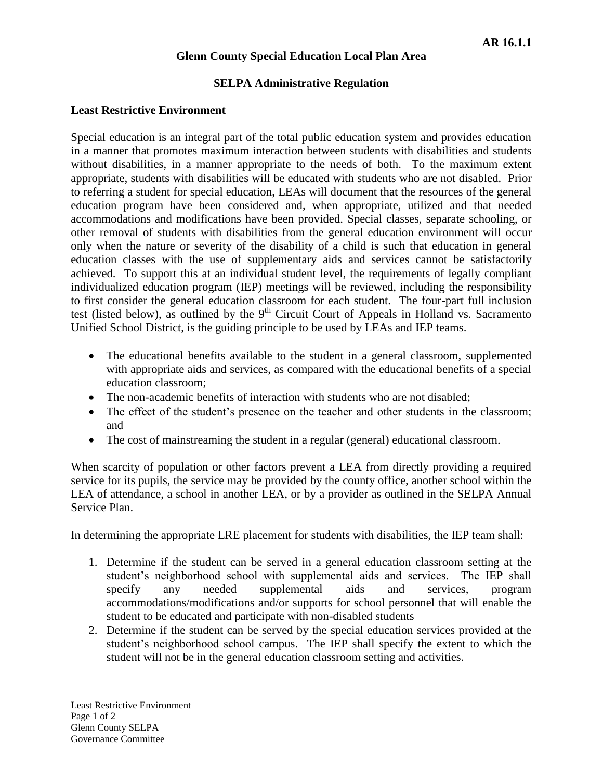## **Glenn County Special Education Local Plan Area**

## **SELPA Administrative Regulation**

## **Least Restrictive Environment**

Special education is an integral part of the total public education system and provides education in a manner that promotes maximum interaction between students with disabilities and students without disabilities, in a manner appropriate to the needs of both. To the maximum extent appropriate, students with disabilities will be educated with students who are not disabled. Prior to referring a student for special education, LEAs will document that the resources of the general education program have been considered and, when appropriate, utilized and that needed accommodations and modifications have been provided. Special classes, separate schooling, or other removal of students with disabilities from the general education environment will occur only when the nature or severity of the disability of a child is such that education in general education classes with the use of supplementary aids and services cannot be satisfactorily achieved. To support this at an individual student level, the requirements of legally compliant individualized education program (IEP) meetings will be reviewed, including the responsibility to first consider the general education classroom for each student. The four-part full inclusion test (listed below), as outlined by the  $9<sup>th</sup>$  Circuit Court of Appeals in Holland vs. Sacramento Unified School District, is the guiding principle to be used by LEAs and IEP teams.

- The educational benefits available to the student in a general classroom, supplemented with appropriate aids and services, as compared with the educational benefits of a special education classroom;
- The non-academic benefits of interaction with students who are not disabled;
- The effect of the student's presence on the teacher and other students in the classroom; and
- The cost of mainstreaming the student in a regular (general) educational classroom.

When scarcity of population or other factors prevent a LEA from directly providing a required service for its pupils, the service may be provided by the county office, another school within the LEA of attendance, a school in another LEA, or by a provider as outlined in the SELPA Annual Service Plan.

In determining the appropriate LRE placement for students with disabilities, the IEP team shall:

- 1. Determine if the student can be served in a general education classroom setting at the student's neighborhood school with supplemental aids and services. The IEP shall specify any needed supplemental aids and services, program accommodations/modifications and/or supports for school personnel that will enable the student to be educated and participate with non-disabled students
- 2. Determine if the student can be served by the special education services provided at the student's neighborhood school campus. The IEP shall specify the extent to which the student will not be in the general education classroom setting and activities.